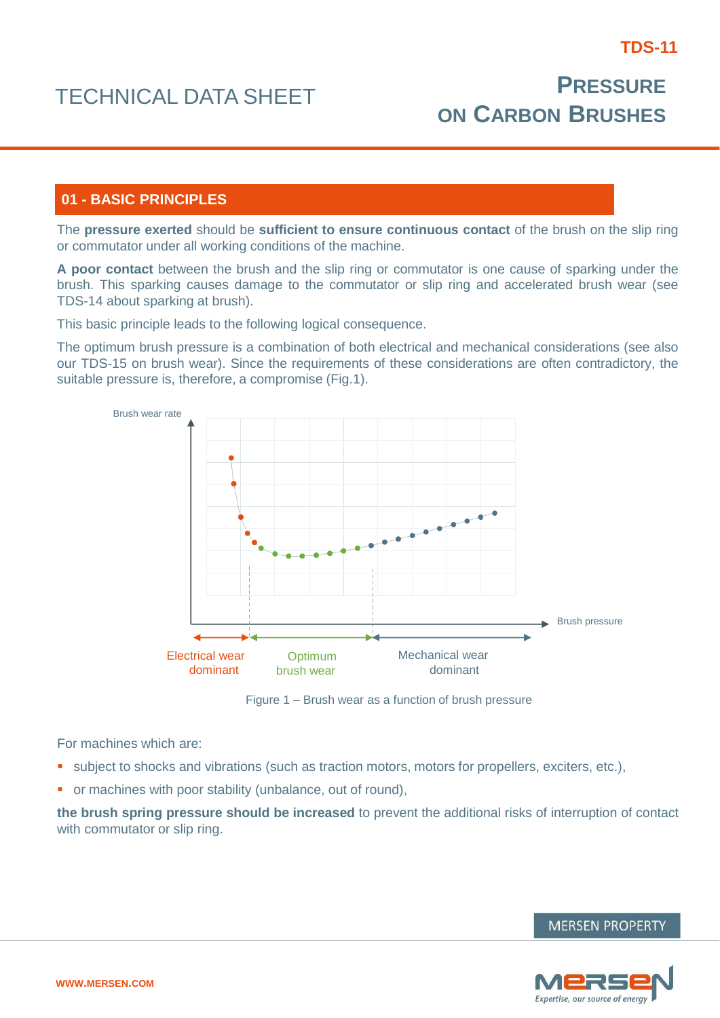# **01 - BASIC PRINCIPLES**

The **pressure exerted** should be **sufficient to ensure continuous contact** of the brush on the slip ring or commutator under all working conditions of the machine.

**A poor contact** between the brush and the slip ring or commutator is one cause of sparking under the brush. This sparking causes damage to the commutator or slip ring and accelerated brush wear (see TDS-14 about sparking at brush).

This basic principle leads to the following logical consequence.

The optimum brush pressure is a combination of both electrical and mechanical considerations (see also our TDS-15 on brush wear). Since the requirements of these considerations are often contradictory, the suitable pressure is, therefore, a compromise (Fig.1).



Figure 1 – Brush wear as a function of brush pressure

For machines which are:

- subject to shocks and vibrations (such as traction motors, motors for propellers, exciters, etc.),
- **•** or machines with poor stability (unbalance, out of round),

**the brush spring pressure should be increased** to prevent the additional risks of interruption of contact with commutator or slip ring.



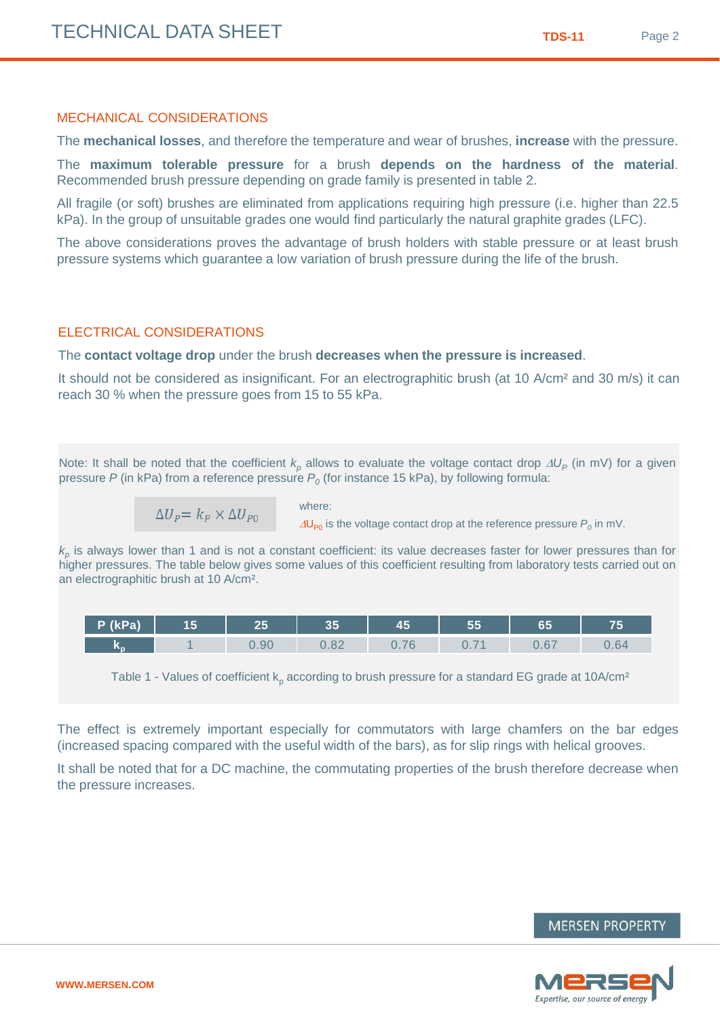## MECHANICAL CONSIDERATIONS

The **mechanical losses**, and therefore the temperature and wear of brushes, **increase** with the pressure.

The **maximum tolerable pressure** for a brush **depends on the hardness of the material**. Recommended brush pressure depending on grade family is presented in table 2.

All fragile (or soft) brushes are eliminated from applications requiring high pressure (i.e. higher than 22.5 kPa). In the group of unsuitable grades one would find particularly the natural graphite grades (LFC).

The above considerations proves the advantage of brush holders with stable pressure or at least brush pressure systems which guarantee a low variation of brush pressure during the life of the brush.

## ELECTRICAL CONSIDERATIONS

The **contact voltage drop** under the brush **decreases when the pressure is increased**.

where:

It should not be considered as insignificant. For an electrographitic brush (at 10 A/cm<sup>2</sup> and 30 m/s) it can reach 30 % when the pressure goes from 15 to 55 kPa.

Note: It shall be noted that the coefficient  $k_p$  allows to evaluate the voltage contact drop  $\Delta U_p$  (in mV) for a given pressure *P* (in kPa) from a reference pressure *P<sup>0</sup>* (for instance 15 kPa), by following formula:

$$
\Delta U_P = k_P \times \Delta U_{P0}
$$

 $\Delta\mathsf{U}_{\mathsf{P} 0}$  is the voltage contact drop at the reference pressure  $P_o$  in mV.

*kp* is always lower than 1 and is not a constant coefficient: its value decreases faster for lower pressures than for higher pressures. The table below gives some values of this coefficient resulting from laboratory tests carried out on an electrographitic brush at 10 A/cm².

| P (kPa) | 15 |      | n E<br>ື         | 4 E<br>--                                                    | o jo               | cЕ<br>00                      | .    |
|---------|----|------|------------------|--------------------------------------------------------------|--------------------|-------------------------------|------|
| w       |    | 0.90 | $\Omega$<br>0.OZ | $\overline{\phantom{0}}$<br>v. 1<br>$\overline{\phantom{a}}$ | $\sim$<br>$\cup$ . | $\sim$<br>$\sim$<br>ı<br>U.VI | 0.64 |

Table 1 - Values of coefficient  $k_p$  according to brush pressure for a standard EG grade at 10A/cm<sup>2</sup>

The effect is extremely important especially for commutators with large chamfers on the bar edges (increased spacing compared with the useful width of the bars), as for slip rings with helical grooves.

It shall be noted that for a DC machine, the commutating properties of the brush therefore decrease when the pressure increases.



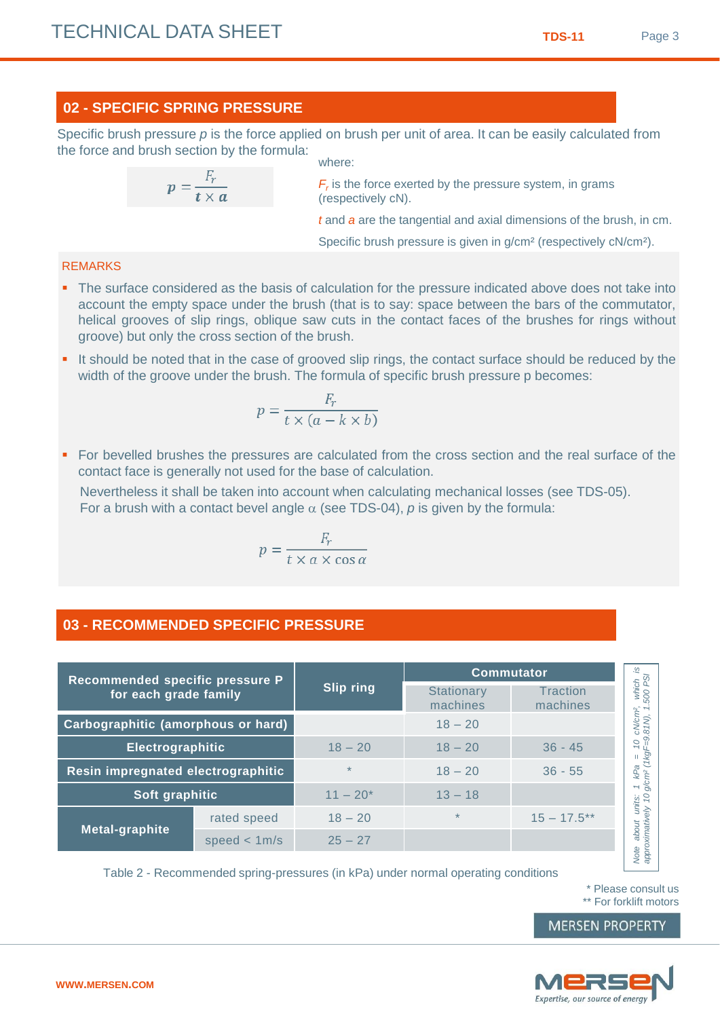# **02 - SPECIFIC SPRING PRESSURE**

Specific brush pressure p is the force applied on brush per unit of area. It can be easily calculated from the force and brush section by the formula: where:

$$
p=\frac{F_r}{t\times a}
$$

 $F_r$  is the force exerted by the pressure system, in grams (respectively cN).

*t* and *a* are the tangential and axial dimensions of the brush, in cm.

Specific brush pressure is given in g/cm² (respectively cN/cm²).

# REMARKS

- The surface considered as the basis of calculation for the pressure indicated above does not take into account the empty space under the brush (that is to say: space between the bars of the commutator, helical grooves of slip rings, oblique saw cuts in the contact faces of the brushes for rings without groove) but only the cross section of the brush.
- It should be noted that in the case of grooved slip rings, the contact surface should be reduced by the width of the groove under the brush. The formula of specific brush pressure p becomes:

$$
p = \frac{F_r}{t \times (a - k \times b)}
$$

 For bevelled brushes the pressures are calculated from the cross section and the real surface of the contact face is generally not used for the base of calculation.

Nevertheless it shall be taken into account when calculating mechanical losses (see TDS-05). For a brush with a contact bevel angle  $\alpha$  (see TDS-04),  $\rho$  is given by the formula:

$$
p = \frac{F_r}{t \times a \times \cos \alpha}
$$

# **03 - RECOMMENDED SPECIFIC PRESSURE**

| Recommended specific pressure P    |                |                  | <b>Commutator</b>             |                             |  |
|------------------------------------|----------------|------------------|-------------------------------|-----------------------------|--|
| for each grade family              |                | <b>Slip ring</b> | <b>Stationary</b><br>machines | <b>Traction</b><br>machines |  |
| Carbographitic (amorphous or hard) |                |                  | $18 - 20$                     |                             |  |
| Electrographitic                   |                | $18 - 20$        | $18 - 20$                     | $36 - 45$                   |  |
| Resin impregnated electrographitic |                | $\star$          | $18 - 20$                     | $36 - 55$                   |  |
| Soft graphitic                     |                | $11 - 20*$       | $13 - 18$                     |                             |  |
|                                    | rated speed    | $18 - 20$        | $\star$                       | $15 - 17.5***$              |  |
| Metal-graphite                     | speed $< 1m/s$ | $25 - 27$        |                               |                             |  |
|                                    |                |                  |                               |                             |  |

Table 2 - Recommended spring-pressures (in kPa) under normal operating conditions

\* Please consult us \*\* For forklift motors

**MERSEN PROPERTY**